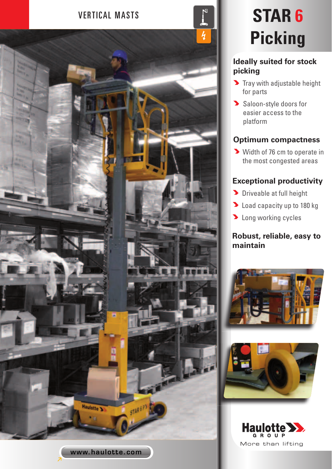

# **Picking**

### **Ideally suited for stock picking**

- $\blacktriangleright$  Tray with adjustable height for parts
- Saloon-style doors for easier access to the platform

## **Optimum compactness**

Width of 76 cm to operate in the most congested areas

# **Exceptional productivity**

- **Driveable at full height**
- **Load capacity up to 180 kg**
- **Long working cycles**

### **Robust, reliable, easy to maintain**